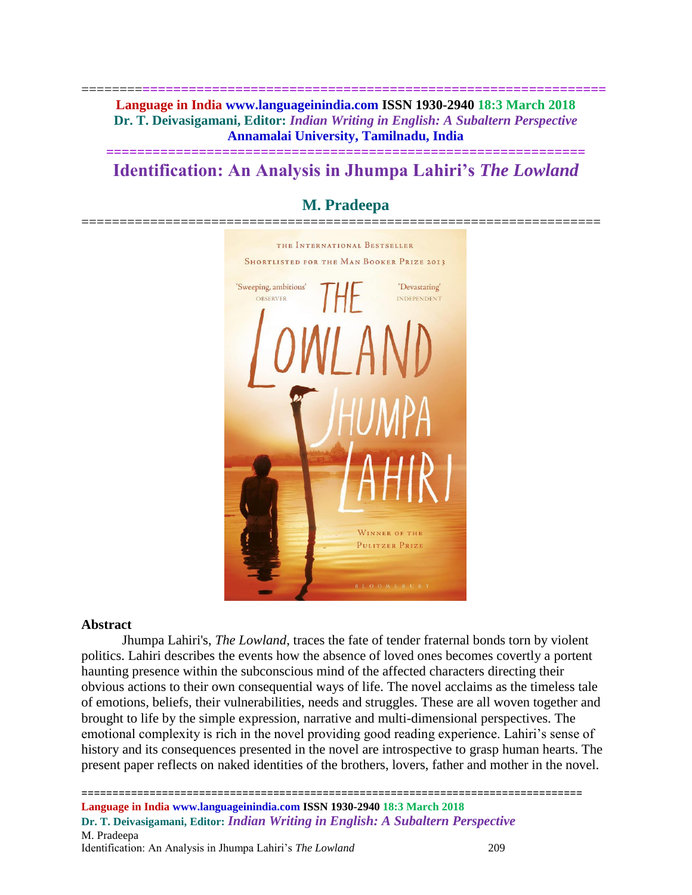========**============================================================ Language in India www.languageinindia.com ISSN 1930-2940 18:3 March 2018 Dr. T. Deivasigamani, Editor:** *Indian Writing in English: A Subaltern Perspective* **Annamalai University, Tamilnadu, India**

# **============================================================== Identification: An Analysis in Jhumpa Lahiri's** *The Lowland*

# **M. Pradeepa** ==================================================================== THE INTERNATIONAL BESTSELLER

# **SHORTLISTED FOR THE MAN BOOKER PRIZE 2013** 'Sweeping, ambitious' 'Devastatino' OBSERVER **INDEPENDENT** WINNER OF THE **PULITZER PRIZE**

#### **Abstract**

Jhumpa Lahiri's, *The Lowland*, traces the fate of tender fraternal bonds torn by violent politics. Lahiri describes the events how the absence of loved ones becomes covertly a portent haunting presence within the subconscious mind of the affected characters directing their obvious actions to their own consequential ways of life. The novel acclaims as the timeless tale of emotions, beliefs, their vulnerabilities, needs and struggles. These are all woven together and brought to life by the simple expression, narrative and multi-dimensional perspectives. The emotional complexity is rich in the novel providing good reading experience. Lahiri's sense of history and its consequences presented in the novel are introspective to grasp human hearts. The present paper reflects on naked identities of the brothers, lovers, father and mother in the novel.

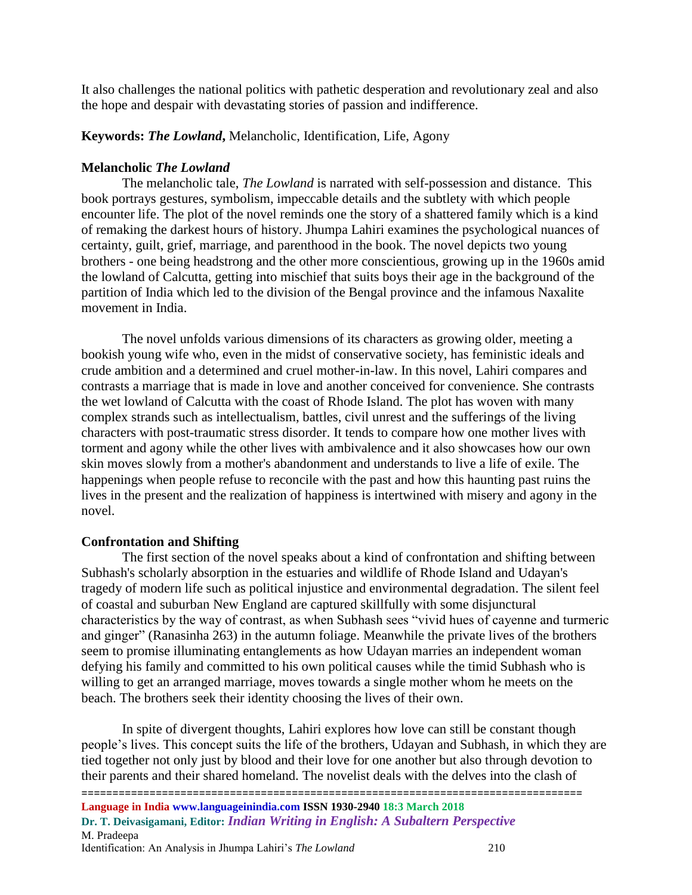It also challenges the national politics with pathetic desperation and revolutionary zeal and also the hope and despair with devastating stories of passion and indifference.

# **Keywords:** *The Lowland***,** Melancholic, Identification, Life, Agony

# **Melancholic** *The Lowland*

The melancholic tale, *The Lowland* is narrated with self-possession and distance. This book portrays gestures, symbolism, impeccable details and the subtlety with which people encounter life. The plot of the novel reminds one the story of a shattered family which is a kind of remaking the darkest hours of history. Jhumpa Lahiri examines the psychological nuances of certainty, guilt, grief, marriage, and parenthood in the book. The novel depicts two young brothers - one being headstrong and the other more conscientious, growing up in the 1960s amid the lowland of Calcutta, getting into mischief that suits boys their age in the background of the partition of India which led to the division of the Bengal province and the infamous Naxalite movement in India.

The novel unfolds various dimensions of its characters as growing older, meeting a bookish young wife who, even in the midst of conservative society, has feministic ideals and crude ambition and a determined and cruel mother-in-law. In this novel, Lahiri compares and contrasts a marriage that is made in love and another conceived for convenience. She contrasts the wet lowland of Calcutta with the coast of Rhode Island. The plot has woven with many complex strands such as intellectualism, battles, civil unrest and the sufferings of the living characters with post-traumatic stress disorder. It tends to compare how one mother lives with torment and agony while the other lives with ambivalence and it also showcases how our own skin moves slowly from a mother's abandonment and understands to live a life of exile. The happenings when people refuse to reconcile with the past and how this haunting past ruins the lives in the present and the realization of happiness is intertwined with misery and agony in the novel.

# **Confrontation and Shifting**

The first section of the novel speaks about a kind of confrontation and shifting between Subhash's scholarly absorption in the estuaries and wildlife of Rhode Island and Udayan's tragedy of modern life such as political injustice and environmental degradation. The silent feel of coastal and suburban New England are captured skillfully with some disjunctural characteristics by the way of contrast, as when Subhash sees "vivid hues of cayenne and turmeric and ginger" (Ranasinha 263) in the autumn foliage. Meanwhile the private lives of the brothers seem to promise illuminating entanglements as how Udayan marries an independent woman defying his family and committed to his own political causes while the timid Subhash who is willing to get an arranged marriage, moves towards a single mother whom he meets on the beach. The brothers seek their identity choosing the lives of their own.

In spite of divergent thoughts, Lahiri explores how love can still be constant though people's lives. This concept suits the life of the brothers, Udayan and Subhash, in which they are tied together not only just by blood and their love for one another but also through devotion to their parents and their shared homeland. The novelist deals with the delves into the clash of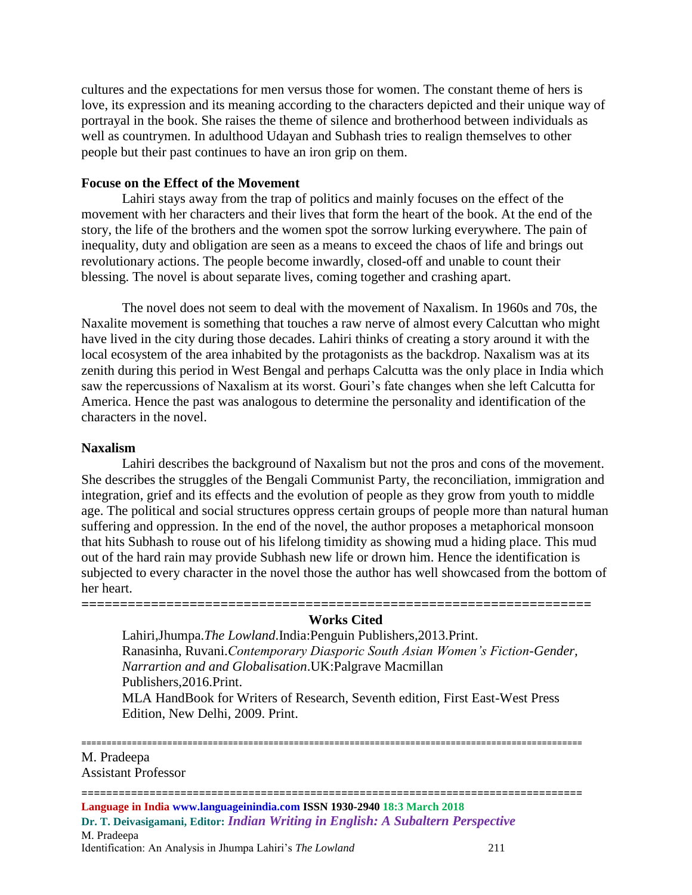cultures and the expectations for men versus those for women. The constant theme of hers is love, its expression and its meaning according to the characters depicted and their unique way of portrayal in the book. She raises the theme of silence and brotherhood between individuals as well as countrymen. In adulthood Udayan and Subhash tries to realign themselves to other people but their past continues to have an iron grip on them.

#### **Focuse on the Effect of the Movement**

Lahiri stays away from the trap of politics and mainly focuses on the effect of the movement with her characters and their lives that form the heart of the book. At the end of the story, the life of the brothers and the women spot the sorrow lurking everywhere. The pain of inequality, duty and obligation are seen as a means to exceed the chaos of life and brings out revolutionary actions. The people become inwardly, closed-off and unable to count their blessing. The novel is about separate lives, coming together and crashing apart.

The novel does not seem to deal with the movement of Naxalism. In 1960s and 70s, the Naxalite movement is something that touches a raw nerve of almost every Calcuttan who might have lived in the city during those decades. Lahiri thinks of creating a story around it with the local ecosystem of the area inhabited by the protagonists as the backdrop. Naxalism was at its zenith during this period in West Bengal and perhaps Calcutta was the only place in India which saw the repercussions of Naxalism at its worst. Gouri's fate changes when she left Calcutta for America. Hence the past was analogous to determine the personality and identification of the characters in the novel.

#### **Naxalism**

Lahiri describes the background of Naxalism but not the pros and cons of the movement. She describes the struggles of the Bengali Communist Party, the reconciliation, immigration and integration, grief and its effects and the evolution of people as they grow from youth to middle age. The political and social structures oppress certain groups of people more than natural human suffering and oppression. In the end of the novel, the author proposes a metaphorical monsoon that hits Subhash to rouse out of his lifelong timidity as showing mud a hiding place. This mud out of the hard rain may provide Subhash new life or drown him. Hence the identification is subjected to every character in the novel those the author has well showcased from the bottom of her heart.

#### **Works Cited**

**==================================================================**

Lahiri,Jhumpa.*The Lowland*.India:Penguin Publishers,2013.Print. Ranasinha, Ruvani.*Contemporary Diasporic South Asian Women's Fiction-Gender, Narrartion and and Globalisation*.UK:Palgrave Macmillan Publishers,2016.Print. MLA HandBook for Writers of Research, Seventh edition, First East-West Press

Edition, New Delhi, 2009. Print.

#### =================================================================================================== M. Pradeepa Assistant Professor

=================================================================================

**Language in India www.languageinindia.com ISSN 1930-2940 18:3 March 2018 Dr. T. Deivasigamani, Editor:** *Indian Writing in English: A Subaltern Perspective* M. Pradeepa Identification: An Analysis in Jhumpa Lahiri's *The Lowland* 211